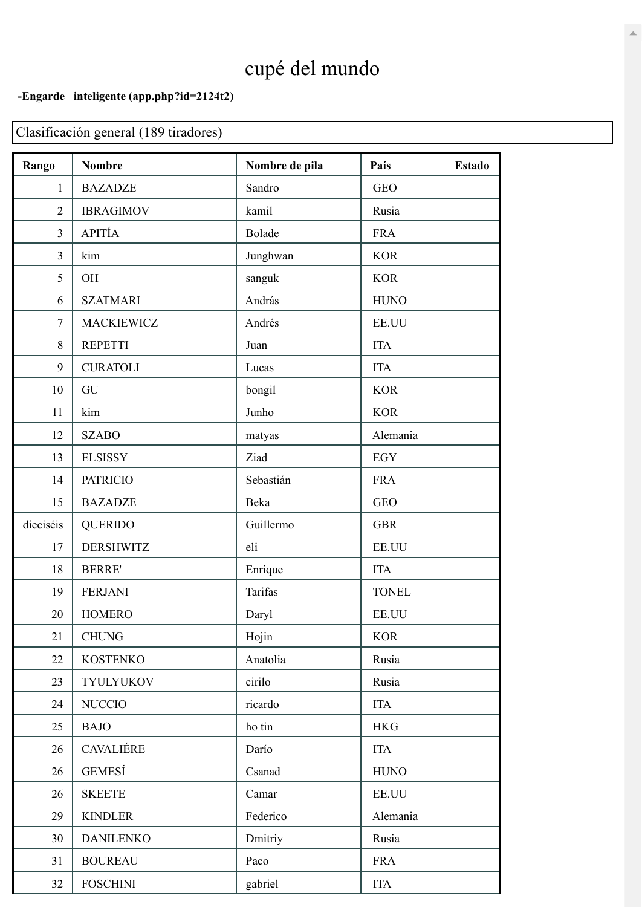## cupé del mundo

## **-Engarde inteligente [\(app.php?id=2124t2\)](https://www.engarde-service.com/app.php?id=2124t2)**

Clasificación general (189 tiradores)

| Rango          | <b>Nombre</b>     | Nombre de pila | País         | <b>Estado</b> |
|----------------|-------------------|----------------|--------------|---------------|
| $\mathbf{1}$   | <b>BAZADZE</b>    | Sandro         | <b>GEO</b>   |               |
| $\overline{2}$ | <b>IBRAGIMOV</b>  | kamil          | Rusia        |               |
| 3              | APITÍA            | Bolade         | <b>FRA</b>   |               |
| 3              | kim               | Junghwan       | <b>KOR</b>   |               |
| 5              | OH                | sanguk         | <b>KOR</b>   |               |
| 6              | <b>SZATMARI</b>   | András         | <b>HUNO</b>  |               |
| $\tau$         | <b>MACKIEWICZ</b> | Andrés         | EE.UU        |               |
| 8              | <b>REPETTI</b>    | Juan           | <b>ITA</b>   |               |
| 9              | <b>CURATOLI</b>   | Lucas          | <b>ITA</b>   |               |
| 10             | GU                | bongil         | <b>KOR</b>   |               |
| 11             | kim               | Junho          | <b>KOR</b>   |               |
| 12             | <b>SZABO</b>      | matyas         | Alemania     |               |
| 13             | <b>ELSISSY</b>    | Ziad           | <b>EGY</b>   |               |
| 14             | <b>PATRICIO</b>   | Sebastián      | <b>FRA</b>   |               |
| 15             | <b>BAZADZE</b>    | Beka           | <b>GEO</b>   |               |
| dieciséis      | <b>QUERIDO</b>    | Guillermo      | <b>GBR</b>   |               |
| 17             | <b>DERSHWITZ</b>  | eli            | EE.UU        |               |
| 18             | <b>BERRE'</b>     | Enrique        | <b>ITA</b>   |               |
| 19             | <b>FERJANI</b>    | Tarifas        | <b>TONEL</b> |               |
| 20             | <b>HOMERO</b>     | Daryl          | EE.UU        |               |
| 21             | <b>CHUNG</b>      | Hojin          | <b>KOR</b>   |               |
| 22             | <b>KOSTENKO</b>   | Anatolia       | Rusia        |               |
| 23             | <b>TYULYUKOV</b>  | cirilo         | Rusia        |               |
| 24             | <b>NUCCIO</b>     | ricardo        | <b>ITA</b>   |               |
| 25             | <b>BAJO</b>       | ho tin         | <b>HKG</b>   |               |
| 26             | CAVALIÉRE         | Darío          | <b>ITA</b>   |               |
| 26             | <b>GEMESÍ</b>     | Csanad         | <b>HUNO</b>  |               |
| 26             | <b>SKEETE</b>     | Camar          | EE.UU        |               |
| 29             | <b>KINDLER</b>    | Federico       | Alemania     |               |
| 30             | <b>DANILENKO</b>  | Dmitriy        | Rusia        |               |
| 31             | <b>BOUREAU</b>    | Paco           | <b>FRA</b>   |               |
| 32             | <b>FOSCHINI</b>   | gabriel        | <b>ITA</b>   |               |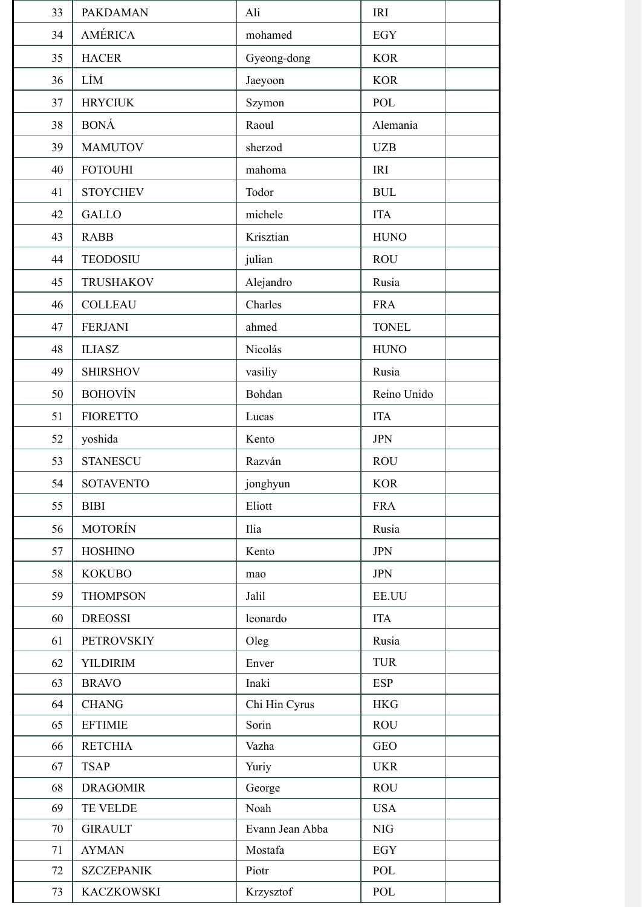| 33       | <b>PAKDAMAN</b>                   | Ali                        | <b>IRI</b>        |
|----------|-----------------------------------|----------------------------|-------------------|
| 34       | AMÉRICA                           | mohamed                    | <b>EGY</b>        |
| 35       | <b>HACER</b>                      | Gyeong-dong                | <b>KOR</b>        |
| 36       | LÍM                               | Jaeyoon                    | <b>KOR</b>        |
| 37       | <b>HRYCIUK</b>                    | Szymon                     | POL               |
| 38       | <b>BONÁ</b>                       | Raoul                      | Alemania          |
| 39       | <b>MAMUTOV</b>                    | sherzod                    | <b>UZB</b>        |
| 40       | <b>FOTOUHI</b>                    | mahoma                     | IRI               |
| 41       | <b>STOYCHEV</b>                   | Todor                      | <b>BUL</b>        |
| 42       | <b>GALLO</b>                      | michele                    | <b>ITA</b>        |
| 43       | <b>RABB</b>                       | Krisztian                  | <b>HUNO</b>       |
| 44       | <b>TEODOSIU</b>                   | julian                     | <b>ROU</b>        |
| 45       | <b>TRUSHAKOV</b>                  | Alejandro                  | Rusia             |
| 46       | <b>COLLEAU</b>                    | Charles                    | <b>FRA</b>        |
| 47       | <b>FERJANI</b>                    | ahmed                      | <b>TONEL</b>      |
| 48       | <b>ILIASZ</b>                     | Nicolás                    | <b>HUNO</b>       |
| 49       | <b>SHIRSHOV</b>                   | vasiliy                    | Rusia             |
| 50       | <b>BOHOVÍN</b>                    | Bohdan                     | Reino Unido       |
| 51       | <b>FIORETTO</b>                   | Lucas                      | <b>ITA</b>        |
| 52       | yoshida                           | Kento                      | <b>JPN</b>        |
| 53       | <b>STANESCU</b>                   | Razván                     | <b>ROU</b>        |
| 54       | <b>SOTAVENTO</b>                  | jonghyun                   | <b>KOR</b>        |
| 55       | <b>BIBI</b>                       | Eliott                     | <b>FRA</b>        |
| 56       | <b>MOTORÍN</b>                    | Ilia                       | Rusia             |
| 57       | <b>HOSHINO</b>                    | Kento                      | <b>JPN</b>        |
| 58       | <b>KOKUBO</b>                     | mao                        | <b>JPN</b>        |
| 59       | <b>THOMPSON</b>                   | Jalil                      | <b>EE.UU</b>      |
| 60       | <b>DREOSSI</b>                    | leonardo                   | <b>ITA</b>        |
| 61       | <b>PETROVSKIY</b>                 | Oleg                       | Rusia             |
| 62       | <b>YILDIRIM</b>                   | Enver                      | <b>TUR</b>        |
| 63       | <b>BRAVO</b>                      | Inaki                      | <b>ESP</b>        |
| 64       | <b>CHANG</b>                      | Chi Hin Cyrus              | <b>HKG</b>        |
| 65       | <b>EFTIMIE</b>                    | Sorin                      | <b>ROU</b>        |
| 66       | <b>RETCHIA</b>                    | Vazha                      | <b>GEO</b>        |
| 67       | <b>TSAP</b>                       | Yuriy                      | <b>UKR</b>        |
| 68       | <b>DRAGOMIR</b>                   | George                     | <b>ROU</b>        |
| 69       | TE VELDE                          | Noah                       | <b>USA</b>        |
| 70       | <b>GIRAULT</b>                    | Evann Jean Abba<br>Mostafa | NIG               |
| 71<br>72 | <b>AYMAN</b><br><b>SZCZEPANIK</b> | Piotr                      | <b>EGY</b><br>POL |
| 73       | <b>KACZKOWSKI</b>                 | Krzysztof                  | POL               |
|          |                                   |                            |                   |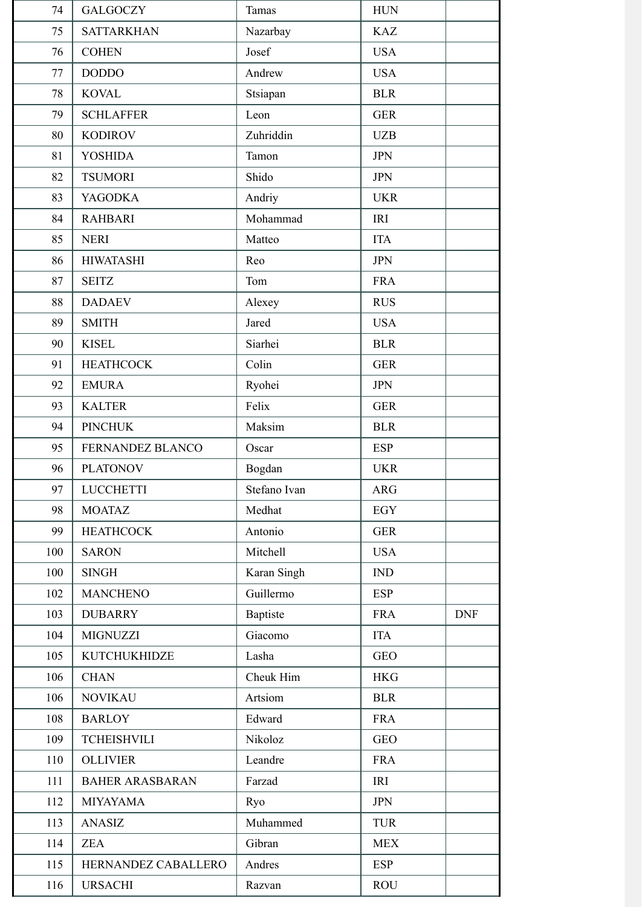| 74  | <b>GALGOCZY</b>        | <b>Tamas</b> | <b>HUN</b> |            |
|-----|------------------------|--------------|------------|------------|
| 75  | <b>SATTARKHAN</b>      | Nazarbay     | <b>KAZ</b> |            |
| 76  | <b>COHEN</b>           | Josef        | <b>USA</b> |            |
| 77  | <b>DODDO</b>           | Andrew       | <b>USA</b> |            |
| 78  | <b>KOVAL</b>           | Stsiapan     | <b>BLR</b> |            |
| 79  | <b>SCHLAFFER</b>       | Leon         | <b>GER</b> |            |
| 80  | <b>KODIROV</b>         | Zuhriddin    | <b>UZB</b> |            |
| 81  | <b>YOSHIDA</b>         | Tamon        | <b>JPN</b> |            |
| 82  | <b>TSUMORI</b>         | Shido        | <b>JPN</b> |            |
| 83  | <b>YAGODKA</b>         | Andriy       | <b>UKR</b> |            |
| 84  | <b>RAHBARI</b>         | Mohammad     | <b>IRI</b> |            |
| 85  | <b>NERI</b>            | Matteo       | <b>ITA</b> |            |
| 86  | <b>HIWATASHI</b>       | Reo          | <b>JPN</b> |            |
| 87  | <b>SEITZ</b>           | Tom          | <b>FRA</b> |            |
| 88  | <b>DADAEV</b>          | Alexey       | <b>RUS</b> |            |
| 89  | <b>SMITH</b>           | Jared        | <b>USA</b> |            |
| 90  | <b>KISEL</b>           | Siarhei      | <b>BLR</b> |            |
| 91  | <b>HEATHCOCK</b>       | Colin        | <b>GER</b> |            |
| 92  | <b>EMURA</b>           | Ryohei       | <b>JPN</b> |            |
| 93  | <b>KALTER</b>          | Felix        | <b>GER</b> |            |
| 94  | <b>PINCHUK</b>         | Maksim       | <b>BLR</b> |            |
| 95  | FERNANDEZ BLANCO       | Oscar        | <b>ESP</b> |            |
| 96  | <b>PLATONOV</b>        | Bogdan       | <b>UKR</b> |            |
| 97  | <b>LUCCHETTI</b>       | Stefano Ivan | <b>ARG</b> |            |
| 98  | <b>MOATAZ</b>          | Medhat       | <b>EGY</b> |            |
| 99  | <b>HEATHCOCK</b>       | Antonio      | <b>GER</b> |            |
| 100 | <b>SARON</b>           | Mitchell     | <b>USA</b> |            |
| 100 | <b>SINGH</b>           | Karan Singh  | IND        |            |
| 102 | <b>MANCHENO</b>        | Guillermo    | <b>ESP</b> |            |
| 103 | <b>DUBARRY</b>         | Baptiste     | <b>FRA</b> | <b>DNF</b> |
| 104 | <b>MIGNUZZI</b>        | Giacomo      | <b>ITA</b> |            |
| 105 | KUTCHUKHIDZE           | Lasha        | <b>GEO</b> |            |
| 106 | <b>CHAN</b>            | Cheuk Him    | <b>HKG</b> |            |
| 106 | <b>NOVIKAU</b>         | Artsiom      | <b>BLR</b> |            |
| 108 | <b>BARLOY</b>          | Edward       | <b>FRA</b> |            |
| 109 | <b>TCHEISHVILI</b>     | Nikoloz      | <b>GEO</b> |            |
| 110 | <b>OLLIVIER</b>        | Leandre      | <b>FRA</b> |            |
| 111 | <b>BAHER ARASBARAN</b> | Farzad       | IRI        |            |
| 112 | <b>MIYAYAMA</b>        | Ryo          | <b>JPN</b> |            |
| 113 | <b>ANASIZ</b>          | Muhammed     | <b>TUR</b> |            |
| 114 | <b>ZEA</b>             | Gibran       | <b>MEX</b> |            |
| 115 | HERNANDEZ CABALLERO    | Andres       | <b>ESP</b> |            |
| 116 | <b>URSACHI</b>         | Razvan       | <b>ROU</b> |            |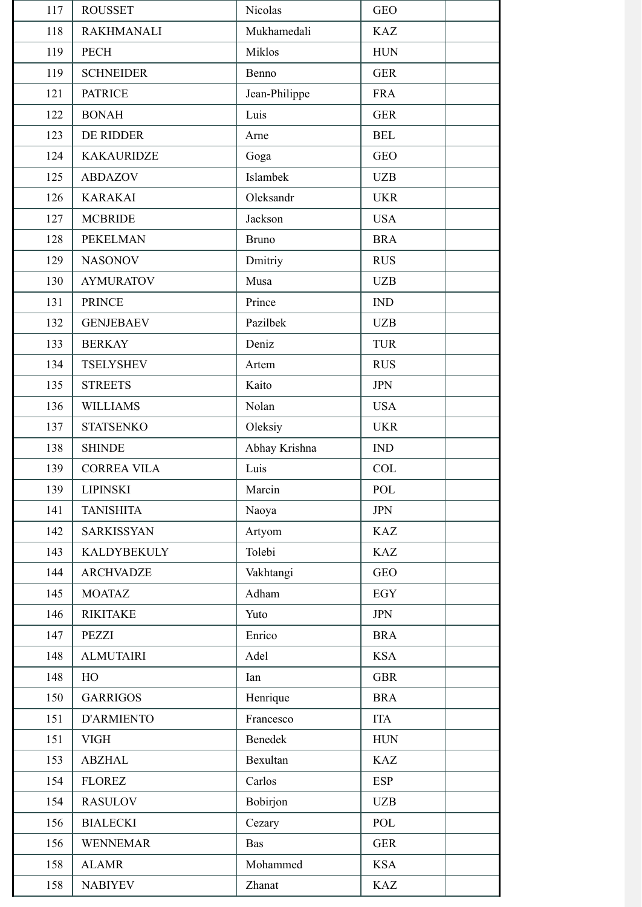| 117 | <b>ROUSSET</b>     | Nicolas       | <b>GEO</b> |
|-----|--------------------|---------------|------------|
| 118 | <b>RAKHMANALI</b>  | Mukhamedali   | <b>KAZ</b> |
| 119 | <b>PECH</b>        | Miklos        | <b>HUN</b> |
| 119 | <b>SCHNEIDER</b>   | Benno         | <b>GER</b> |
| 121 | <b>PATRICE</b>     | Jean-Philippe | <b>FRA</b> |
| 122 | <b>BONAH</b>       | Luis          | <b>GER</b> |
| 123 | DE RIDDER          | Arne          | <b>BEL</b> |
| 124 | <b>KAKAURIDZE</b>  | Goga          | <b>GEO</b> |
| 125 | <b>ABDAZOV</b>     | Islambek      | <b>UZB</b> |
| 126 | <b>KARAKAI</b>     | Oleksandr     | <b>UKR</b> |
| 127 | <b>MCBRIDE</b>     | Jackson       | <b>USA</b> |
| 128 | <b>PEKELMAN</b>    | <b>Bruno</b>  | <b>BRA</b> |
| 129 | <b>NASONOV</b>     | Dmitriy       | <b>RUS</b> |
| 130 | <b>AYMURATOV</b>   | Musa          | <b>UZB</b> |
| 131 | <b>PRINCE</b>      | Prince        | <b>IND</b> |
| 132 | <b>GENJEBAEV</b>   | Pazilbek      | <b>UZB</b> |
| 133 | <b>BERKAY</b>      | Deniz         | <b>TUR</b> |
| 134 | <b>TSELYSHEV</b>   | Artem         | <b>RUS</b> |
| 135 | <b>STREETS</b>     | Kaito         | <b>JPN</b> |
| 136 | <b>WILLIAMS</b>    | Nolan         | <b>USA</b> |
| 137 | <b>STATSENKO</b>   | Oleksiy       | <b>UKR</b> |
| 138 | <b>SHINDE</b>      | Abhay Krishna | <b>IND</b> |
| 139 | <b>CORREA VILA</b> | Luis          | <b>COL</b> |
| 139 | <b>LIPINSKI</b>    | Marcin        | POL        |
| 141 | <b>TANISHITA</b>   | Naoya         | <b>JPN</b> |
| 142 | <b>SARKISSYAN</b>  | Artyom        | <b>KAZ</b> |
| 143 | <b>KALDYBEKULY</b> | Tolebi        | <b>KAZ</b> |
| 144 | <b>ARCHVADZE</b>   | Vakhtangi     | <b>GEO</b> |
| 145 | <b>MOATAZ</b>      | Adham         | <b>EGY</b> |
| 146 | <b>RIKITAKE</b>    | Yuto          | <b>JPN</b> |
| 147 | <b>PEZZI</b>       | Enrico        | <b>BRA</b> |
| 148 | <b>ALMUTAIRI</b>   | Adel          | <b>KSA</b> |
| 148 | HO                 | Ian           | <b>GBR</b> |
| 150 | <b>GARRIGOS</b>    | Henrique      | <b>BRA</b> |
| 151 | <b>D'ARMIENTO</b>  | Francesco     | <b>ITA</b> |
| 151 | <b>VIGH</b>        | Benedek       | <b>HUN</b> |
| 153 | <b>ABZHAL</b>      | Bexultan      | <b>KAZ</b> |
| 154 | <b>FLOREZ</b>      | Carlos        | <b>ESP</b> |
| 154 | <b>RASULOV</b>     | Bobirjon      | <b>UZB</b> |
| 156 | <b>BIALECKI</b>    | Cezary        | POL        |
| 156 | <b>WENNEMAR</b>    | Bas           | <b>GER</b> |
| 158 | <b>ALAMR</b>       | Mohammed      | <b>KSA</b> |
| 158 | <b>NABIYEV</b>     | Zhanat        | <b>KAZ</b> |